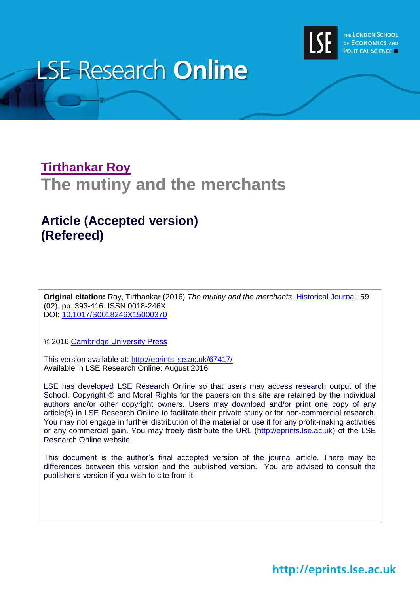

# **LSE Research Online**

## **[Tirthankar](http://www.lse.ac.uk/researchAndExpertise/Experts/profile.aspx?KeyValue=t.roy@lse.ac.uk) Roy The mutiny and the merchants**

### **Article (Accepted version) (Refereed)**

**Original citation:** Roy, Tirthankar (2016) *The mutiny and the merchants.* [Historical Journal,](http://journals.cambridge.org/action/displayJournal?jid=HIS) 59 (02). pp. 393-416. ISSN 0018-246X DOI: [10.1017/S0018246X15000370](http://dx.doi.org/10.1017/S0018246X15000370)

© 2016 [Cambridge University Press](http://www.cambridge.org/)

This version available at:<http://eprints.lse.ac.uk/67417/> Available in LSE Research Online: August 2016

LSE has developed LSE Research Online so that users may access research output of the School. Copyright © and Moral Rights for the papers on this site are retained by the individual authors and/or other copyright owners. Users may download and/or print one copy of any article(s) in LSE Research Online to facilitate their private study or for non-commercial research. You may not engage in further distribution of the material or use it for any profit-making activities or any commercial gain. You may freely distribute the URL (http://eprints.lse.ac.uk) of the LSE Research Online website.

This document is the author's final accepted version of the journal article. There may be differences between this version and the published version. You are advised to consult the publisher's version if you wish to cite from it.

http://eprints.lse.ac.uk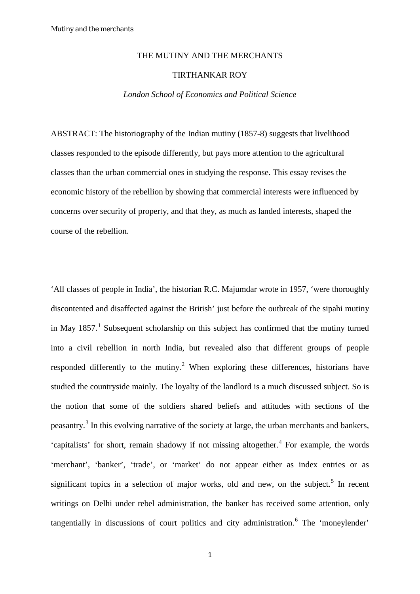#### THE MUTINY AND THE MERCHANTS

#### TIRTHANKAR ROY

#### *London School of Economics and Political Science*

ABSTRACT: The historiography of the Indian mutiny (1857-8) suggests that livelihood classes responded to the episode differently, but pays more attention to the agricultural classes than the urban commercial ones in studying the response. This essay revises the economic history of the rebellion by showing that commercial interests were influenced by concerns over security of property, and that they, as much as landed interests, shaped the course of the rebellion.

'All classes of people in India', the historian R.C. Majumdar wrote in 1957, 'were thoroughly discontented and disaffected against the British' just before the outbreak of the sipahi mutiny in May  $1857<sup>1</sup>$  $1857<sup>1</sup>$  Subsequent scholarship on this subject has confirmed that the mutiny turned into a civil rebellion in north India, but revealed also that different groups of people responded differently to the mutiny.<sup>[2](#page-28-1)</sup> When exploring these differences, historians have studied the countryside mainly. The loyalty of the landlord is a much discussed subject. So is the notion that some of the soldiers shared beliefs and attitudes with sections of the peasantry.<sup>[3](#page-29-0)</sup> In this evolving narrative of the society at large, the urban merchants and bankers, 'capitalists' for short, remain shadowy if not missing altogether.<sup>[4](#page-29-1)</sup> For example, the words 'merchant', 'banker', 'trade', or 'market' do not appear either as index entries or as significant topics in a selection of major works, old and new, on the subject.<sup>[5](#page-29-2)</sup> In recent writings on Delhi under rebel administration, the banker has received some attention, only tangentially in discussions of court politics and city administration.<sup>[6](#page-29-3)</sup> The 'moneylender'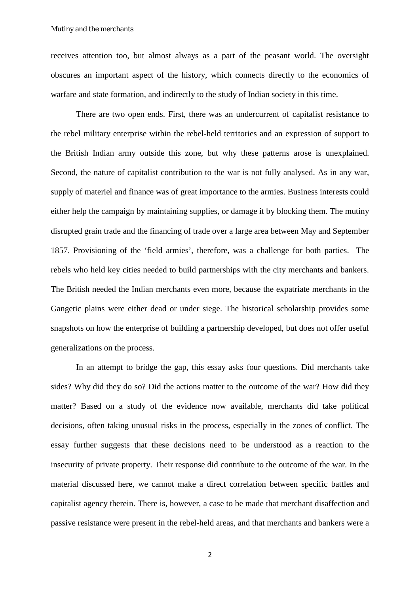receives attention too, but almost always as a part of the peasant world. The oversight obscures an important aspect of the history, which connects directly to the economics of warfare and state formation, and indirectly to the study of Indian society in this time.

There are two open ends. First, there was an undercurrent of capitalist resistance to the rebel military enterprise within the rebel-held territories and an expression of support to the British Indian army outside this zone, but why these patterns arose is unexplained. Second, the nature of capitalist contribution to the war is not fully analysed. As in any war, supply of materiel and finance was of great importance to the armies. Business interests could either help the campaign by maintaining supplies, or damage it by blocking them. The mutiny disrupted grain trade and the financing of trade over a large area between May and September 1857. Provisioning of the 'field armies', therefore, was a challenge for both parties. The rebels who held key cities needed to build partnerships with the city merchants and bankers. The British needed the Indian merchants even more, because the expatriate merchants in the Gangetic plains were either dead or under siege. The historical scholarship provides some snapshots on how the enterprise of building a partnership developed, but does not offer useful generalizations on the process.

In an attempt to bridge the gap, this essay asks four questions. Did merchants take sides? Why did they do so? Did the actions matter to the outcome of the war? How did they matter? Based on a study of the evidence now available, merchants did take political decisions, often taking unusual risks in the process, especially in the zones of conflict. The essay further suggests that these decisions need to be understood as a reaction to the insecurity of private property. Their response did contribute to the outcome of the war. In the material discussed here, we cannot make a direct correlation between specific battles and capitalist agency therein. There is, however, a case to be made that merchant disaffection and passive resistance were present in the rebel-held areas, and that merchants and bankers were a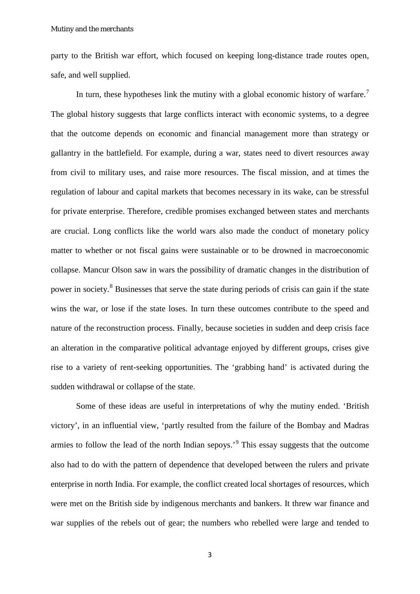party to the British war effort, which focused on keeping long-distance trade routes open, safe, and well supplied.

In turn, these hypotheses link the mutiny with a global economic history of warfare.<sup>[7](#page-29-4)</sup> The global history suggests that large conflicts interact with economic systems, to a degree that the outcome depends on economic and financial management more than strategy or gallantry in the battlefield. For example, during a war, states need to divert resources away from civil to military uses, and raise more resources. The fiscal mission, and at times the regulation of labour and capital markets that becomes necessary in its wake, can be stressful for private enterprise. Therefore, credible promises exchanged between states and merchants are crucial. Long conflicts like the world wars also made the conduct of monetary policy matter to whether or not fiscal gains were sustainable or to be drowned in macroeconomic collapse. Mancur Olson saw in wars the possibility of dramatic changes in the distribution of power in society.[8](#page-29-5) Businesses that serve the state during periods of crisis can gain if the state wins the war, or lose if the state loses. In turn these outcomes contribute to the speed and nature of the reconstruction process. Finally, because societies in sudden and deep crisis face an alteration in the comparative political advantage enjoyed by different groups, crises give rise to a variety of rent-seeking opportunities. The 'grabbing hand' is activated during the sudden withdrawal or collapse of the state.

Some of these ideas are useful in interpretations of why the mutiny ended. 'British victory', in an influential view, 'partly resulted from the failure of the Bombay and Madras armies to follow the lead of the north Indian sepoys.'[9](#page-29-6) This essay suggests that the outcome also had to do with the pattern of dependence that developed between the rulers and private enterprise in north India. For example, the conflict created local shortages of resources, which were met on the British side by indigenous merchants and bankers. It threw war finance and war supplies of the rebels out of gear; the numbers who rebelled were large and tended to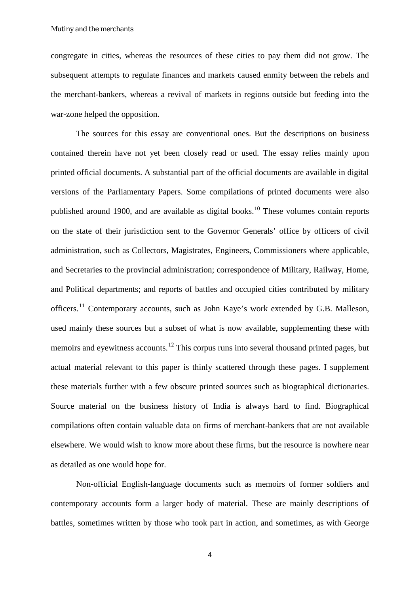congregate in cities, whereas the resources of these cities to pay them did not grow. The subsequent attempts to regulate finances and markets caused enmity between the rebels and the merchant-bankers, whereas a revival of markets in regions outside but feeding into the war-zone helped the opposition.

The sources for this essay are conventional ones. But the descriptions on business contained therein have not yet been closely read or used. The essay relies mainly upon printed official documents. A substantial part of the official documents are available in digital versions of the Parliamentary Papers. Some compilations of printed documents were also published around 1900, and are available as digital books.<sup>[10](#page-30-0)</sup> These volumes contain reports on the state of their jurisdiction sent to the Governor Generals' office by officers of civil administration, such as Collectors, Magistrates, Engineers, Commissioners where applicable, and Secretaries to the provincial administration; correspondence of Military, Railway, Home, and Political departments; and reports of battles and occupied cities contributed by military officers.[11](#page-30-1) Contemporary accounts, such as John Kaye's work extended by G.B. Malleson, used mainly these sources but a subset of what is now available, supplementing these with memoirs and eyewitness accounts.<sup>[12](#page-30-2)</sup> This corpus runs into several thousand printed pages, but actual material relevant to this paper is thinly scattered through these pages. I supplement these materials further with a few obscure printed sources such as biographical dictionaries. Source material on the business history of India is always hard to find. Biographical compilations often contain valuable data on firms of merchant-bankers that are not available elsewhere. We would wish to know more about these firms, but the resource is nowhere near as detailed as one would hope for.

Non-official English-language documents such as memoirs of former soldiers and contemporary accounts form a larger body of material. These are mainly descriptions of battles, sometimes written by those who took part in action, and sometimes, as with George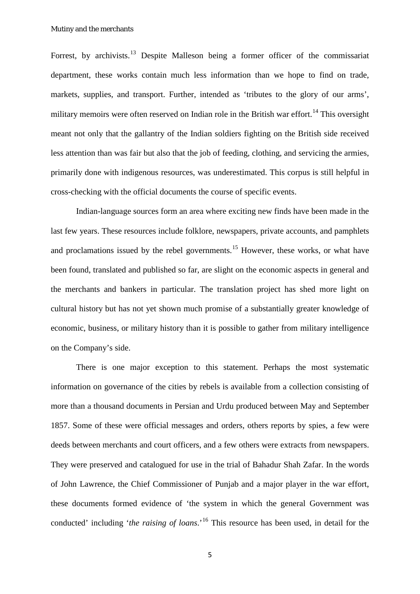Forrest, by archivists.<sup>[13](#page-30-3)</sup> Despite Malleson being a former officer of the commissariat department, these works contain much less information than we hope to find on trade, markets, supplies, and transport. Further, intended as 'tributes to the glory of our arms', military memoirs were often reserved on Indian role in the British war effort.<sup>[14](#page-30-4)</sup> This oversight meant not only that the gallantry of the Indian soldiers fighting on the British side received less attention than was fair but also that the job of feeding, clothing, and servicing the armies, primarily done with indigenous resources, was underestimated. This corpus is still helpful in cross-checking with the official documents the course of specific events.

Indian-language sources form an area where exciting new finds have been made in the last few years. These resources include folklore, newspapers, private accounts, and pamphlets and proclamations issued by the rebel governments.<sup>[15](#page-30-5)</sup> However, these works, or what have been found, translated and published so far, are slight on the economic aspects in general and the merchants and bankers in particular. The translation project has shed more light on cultural history but has not yet shown much promise of a substantially greater knowledge of economic, business, or military history than it is possible to gather from military intelligence on the Company's side.

There is one major exception to this statement. Perhaps the most systematic information on governance of the cities by rebels is available from a collection consisting of more than a thousand documents in Persian and Urdu produced between May and September 1857. Some of these were official messages and orders, others reports by spies, a few were deeds between merchants and court officers, and a few others were extracts from newspapers. They were preserved and catalogued for use in the trial of Bahadur Shah Zafar. In the words of John Lawrence, the Chief Commissioner of Punjab and a major player in the war effort, these documents formed evidence of 'the system in which the general Government was conducted' including '*the raising of loans*.'[16](#page-31-0) This resource has been used, in detail for the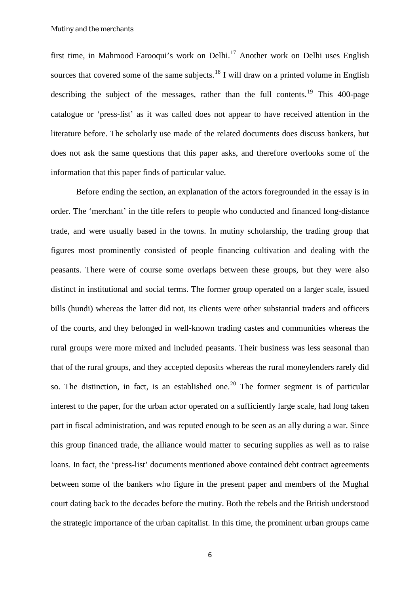first time, in Mahmood Farooqui's work on Delhi.[17](#page-31-1) Another work on Delhi uses English sources that covered some of the same subjects.<sup>[18](#page-31-2)</sup> I will draw on a printed volume in English describing the subject of the messages, rather than the full contents.<sup>[19](#page-31-3)</sup> This 400-page catalogue or 'press-list' as it was called does not appear to have received attention in the literature before. The scholarly use made of the related documents does discuss bankers, but does not ask the same questions that this paper asks, and therefore overlooks some of the information that this paper finds of particular value.

Before ending the section, an explanation of the actors foregrounded in the essay is in order. The 'merchant' in the title refers to people who conducted and financed long-distance trade, and were usually based in the towns. In mutiny scholarship, the trading group that figures most prominently consisted of people financing cultivation and dealing with the peasants. There were of course some overlaps between these groups, but they were also distinct in institutional and social terms. The former group operated on a larger scale, issued bills (hundi) whereas the latter did not, its clients were other substantial traders and officers of the courts, and they belonged in well-known trading castes and communities whereas the rural groups were more mixed and included peasants. Their business was less seasonal than that of the rural groups, and they accepted deposits whereas the rural moneylenders rarely did so. The distinction, in fact, is an established one.<sup>[20](#page-31-4)</sup> The former segment is of particular interest to the paper, for the urban actor operated on a sufficiently large scale, had long taken part in fiscal administration, and was reputed enough to be seen as an ally during a war. Since this group financed trade, the alliance would matter to securing supplies as well as to raise loans. In fact, the 'press-list' documents mentioned above contained debt contract agreements between some of the bankers who figure in the present paper and members of the Mughal court dating back to the decades before the mutiny. Both the rebels and the British understood the strategic importance of the urban capitalist. In this time, the prominent urban groups came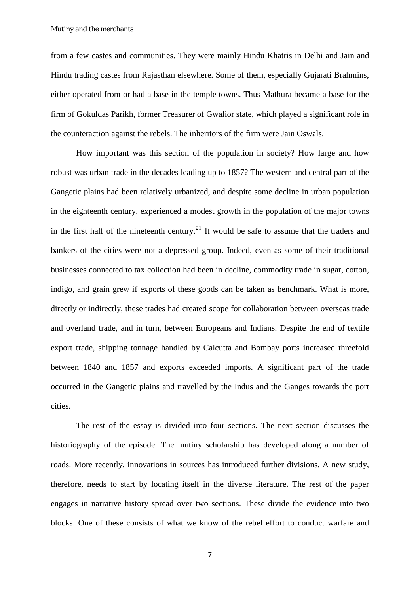from a few castes and communities. They were mainly Hindu Khatris in Delhi and Jain and Hindu trading castes from Rajasthan elsewhere. Some of them, especially Gujarati Brahmins, either operated from or had a base in the temple towns. Thus Mathura became a base for the firm of Gokuldas Parikh, former Treasurer of Gwalior state, which played a significant role in the counteraction against the rebels. The inheritors of the firm were Jain Oswals.

How important was this section of the population in society? How large and how robust was urban trade in the decades leading up to 1857? The western and central part of the Gangetic plains had been relatively urbanized, and despite some decline in urban population in the eighteenth century, experienced a modest growth in the population of the major towns in the first half of the nineteenth century.<sup>[21](#page-31-5)</sup> It would be safe to assume that the traders and bankers of the cities were not a depressed group. Indeed, even as some of their traditional businesses connected to tax collection had been in decline, commodity trade in sugar, cotton, indigo, and grain grew if exports of these goods can be taken as benchmark. What is more, directly or indirectly, these trades had created scope for collaboration between overseas trade and overland trade, and in turn, between Europeans and Indians. Despite the end of textile export trade, shipping tonnage handled by Calcutta and Bombay ports increased threefold between 1840 and 1857 and exports exceeded imports. A significant part of the trade occurred in the Gangetic plains and travelled by the Indus and the Ganges towards the port cities.

The rest of the essay is divided into four sections. The next section discusses the historiography of the episode. The mutiny scholarship has developed along a number of roads. More recently, innovations in sources has introduced further divisions. A new study, therefore, needs to start by locating itself in the diverse literature. The rest of the paper engages in narrative history spread over two sections. These divide the evidence into two blocks. One of these consists of what we know of the rebel effort to conduct warfare and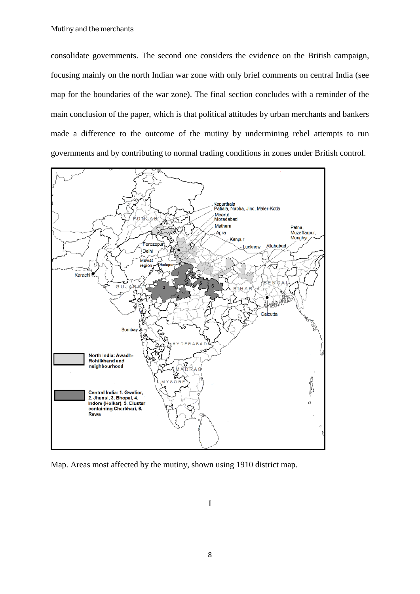consolidate governments. The second one considers the evidence on the British campaign, focusing mainly on the north Indian war zone with only brief comments on central India (see map for the boundaries of the war zone). The final section concludes with a reminder of the main conclusion of the paper, which is that political attitudes by urban merchants and bankers made a difference to the outcome of the mutiny by undermining rebel attempts to run governments and by contributing to normal trading conditions in zones under British control.



Map. Areas most affected by the mutiny, shown using 1910 district map.

I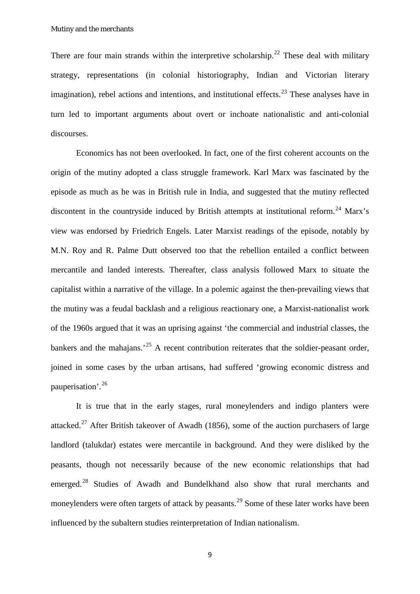There are four main strands within the interpretive scholarship.<sup>[22](#page-31-6)</sup> These deal with military strategy, representations (in colonial historiography, Indian and Victorian literary imagination), rebel actions and intentions, and institutional effects.<sup>[23](#page-31-7)</sup> These analyses have in turn led to important arguments about overt or inchoate nationalistic and anti-colonial discourses.

Economics has not been overlooked. In fact, one of the first coherent accounts on the origin of the mutiny adopted a class struggle framework. Karl Marx was fascinated by the episode as much as he was in British rule in India, and suggested that the mutiny reflected discontent in the countryside induced by British attempts at institutional reform.<sup>[24](#page-32-0)</sup> Marx's view was endorsed by Friedrich Engels. Later Marxist readings of the episode, notably by M.N. Roy and R. Palme Dutt observed too that the rebellion entailed a conflict between mercantile and landed interests. Thereafter, class analysis followed Marx to situate the capitalist within a narrative of the village. In a polemic against the then-prevailing views that the mutiny was a feudal backlash and a religious reactionary one, a Marxist-nationalist work of the 1960s argued that it was an uprising against 'the commercial and industrial classes, the bankers and the mahajans.<sup>[25](#page-32-1)</sup> A recent contribution reiterates that the soldier-peasant order, joined in some cases by the urban artisans, had suffered 'growing economic distress and pauperisation'.[26](#page-32-2)

It is true that in the early stages, rural moneylenders and indigo planters were attacked.<sup>[27](#page-32-3)</sup> After British takeover of Awadh (1856), some of the auction purchasers of large landlord (talukdar) estates were mercantile in background. And they were disliked by the peasants, though not necessarily because of the new economic relationships that had emerged.[28](#page-32-4) Studies of Awadh and Bundelkhand also show that rural merchants and moneylenders were often targets of attack by peasants.<sup>[29](#page-32-5)</sup> Some of these later works have been influenced by the subaltern studies reinterpretation of Indian nationalism.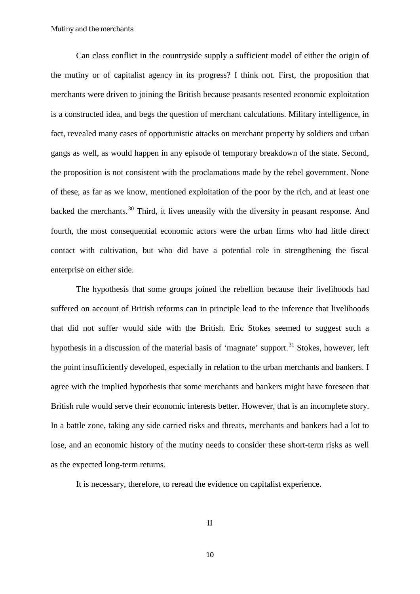Can class conflict in the countryside supply a sufficient model of either the origin of the mutiny or of capitalist agency in its progress? I think not. First, the proposition that merchants were driven to joining the British because peasants resented economic exploitation is a constructed idea, and begs the question of merchant calculations. Military intelligence, in fact, revealed many cases of opportunistic attacks on merchant property by soldiers and urban gangs as well, as would happen in any episode of temporary breakdown of the state. Second, the proposition is not consistent with the proclamations made by the rebel government. None of these, as far as we know, mentioned exploitation of the poor by the rich, and at least one backed the merchants.[30](#page-32-6) Third, it lives uneasily with the diversity in peasant response. And fourth, the most consequential economic actors were the urban firms who had little direct contact with cultivation, but who did have a potential role in strengthening the fiscal enterprise on either side.

The hypothesis that some groups joined the rebellion because their livelihoods had suffered on account of British reforms can in principle lead to the inference that livelihoods that did not suffer would side with the British. Eric Stokes seemed to suggest such a hypothesis in a discussion of the material basis of 'magnate' support.<sup>[31](#page-32-7)</sup> Stokes, however, left the point insufficiently developed, especially in relation to the urban merchants and bankers. I agree with the implied hypothesis that some merchants and bankers might have foreseen that British rule would serve their economic interests better. However, that is an incomplete story. In a battle zone, taking any side carried risks and threats, merchants and bankers had a lot to lose, and an economic history of the mutiny needs to consider these short-term risks as well as the expected long-term returns.

It is necessary, therefore, to reread the evidence on capitalist experience.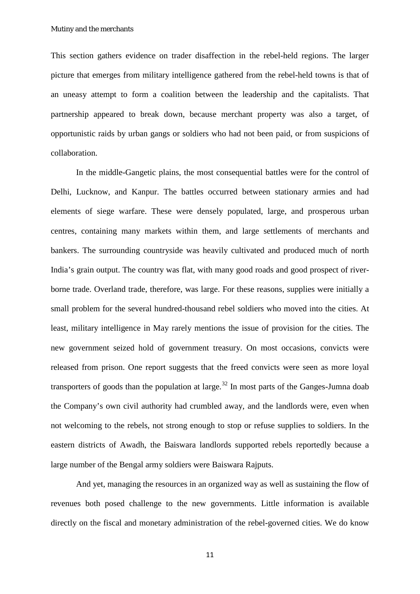This section gathers evidence on trader disaffection in the rebel-held regions. The larger picture that emerges from military intelligence gathered from the rebel-held towns is that of an uneasy attempt to form a coalition between the leadership and the capitalists. That partnership appeared to break down, because merchant property was also a target, of opportunistic raids by urban gangs or soldiers who had not been paid, or from suspicions of collaboration.

In the middle-Gangetic plains, the most consequential battles were for the control of Delhi, Lucknow, and Kanpur. The battles occurred between stationary armies and had elements of siege warfare. These were densely populated, large, and prosperous urban centres, containing many markets within them, and large settlements of merchants and bankers. The surrounding countryside was heavily cultivated and produced much of north India's grain output. The country was flat, with many good roads and good prospect of riverborne trade. Overland trade, therefore, was large. For these reasons, supplies were initially a small problem for the several hundred-thousand rebel soldiers who moved into the cities. At least, military intelligence in May rarely mentions the issue of provision for the cities. The new government seized hold of government treasury. On most occasions, convicts were released from prison. One report suggests that the freed convicts were seen as more loyal transporters of goods than the population at large.<sup>[32](#page-32-8)</sup> In most parts of the Ganges-Jumna doab the Company's own civil authority had crumbled away, and the landlords were, even when not welcoming to the rebels, not strong enough to stop or refuse supplies to soldiers. In the eastern districts of Awadh, the Baiswara landlords supported rebels reportedly because a large number of the Bengal army soldiers were Baiswara Rajputs.

And yet, managing the resources in an organized way as well as sustaining the flow of revenues both posed challenge to the new governments. Little information is available directly on the fiscal and monetary administration of the rebel-governed cities. We do know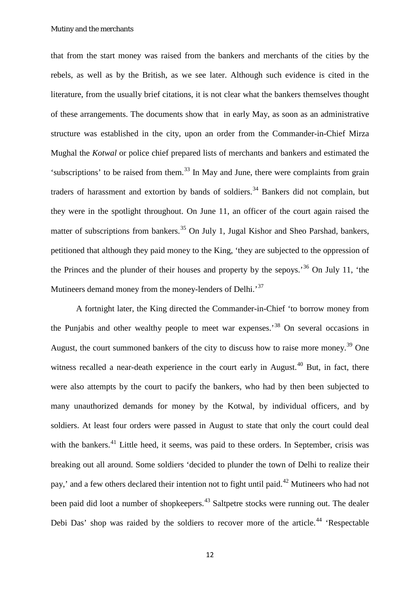that from the start money was raised from the bankers and merchants of the cities by the rebels, as well as by the British, as we see later. Although such evidence is cited in the literature, from the usually brief citations, it is not clear what the bankers themselves thought of these arrangements. The documents show that in early May, as soon as an administrative structure was established in the city, upon an order from the Commander-in-Chief Mirza Mughal the *Kotwal* or police chief prepared lists of merchants and bankers and estimated the 'subscriptions' to be raised from them.<sup>[33](#page-32-9)</sup> In May and June, there were complaints from grain traders of harassment and extortion by bands of soldiers.<sup>[34](#page-32-10)</sup> Bankers did not complain, but they were in the spotlight throughout. On June 11, an officer of the court again raised the matter of subscriptions from bankers.<sup>[35](#page-32-11)</sup> On July 1, Jugal Kishor and Sheo Parshad, bankers, petitioned that although they paid money to the King, 'they are subjected to the oppression of the Princes and the plunder of their houses and property by the sepoys.<sup>[36](#page-32-12)</sup> On July 11, 'the Mutineers demand money from the money-lenders of Delhi.<sup>[37](#page-32-13)</sup>

A fortnight later, the King directed the Commander-in-Chief 'to borrow money from the Punjabis and other wealthy people to meet war expenses.'[38](#page-32-14) On several occasions in August, the court summoned bankers of the city to discuss how to raise more money.<sup>[39](#page-32-15)</sup> One witness recalled a near-death experience in the court early in August.<sup>[40](#page-32-16)</sup> But, in fact, there were also attempts by the court to pacify the bankers, who had by then been subjected to many unauthorized demands for money by the Kotwal, by individual officers, and by soldiers. At least four orders were passed in August to state that only the court could deal with the bankers.<sup>[41](#page-33-0)</sup> Little heed, it seems, was paid to these orders. In September, crisis was breaking out all around. Some soldiers 'decided to plunder the town of Delhi to realize their pay,' and a few others declared their intention not to fight until paid.<sup>[42](#page-33-1)</sup> Mutineers who had not been paid did loot a number of shopkeepers.<sup>[43](#page-33-2)</sup> Saltpetre stocks were running out. The dealer Debi Das' shop was raided by the soldiers to recover more of the article.<sup>[44](#page-33-3)</sup> 'Respectable'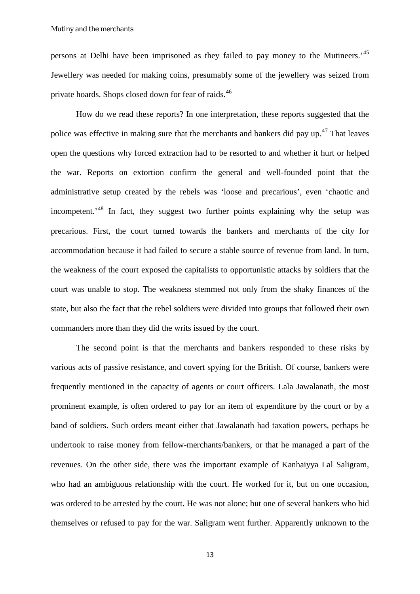persons at Delhi have been imprisoned as they failed to pay money to the Mutineers.'[45](#page-33-4) Jewellery was needed for making coins, presumably some of the jewellery was seized from private hoards. Shops closed down for fear of raids.<sup>[46](#page-33-5)</sup>

How do we read these reports? In one interpretation, these reports suggested that the police was effective in making sure that the merchants and bankers did pay up.<sup>[47](#page-33-6)</sup> That leaves open the questions why forced extraction had to be resorted to and whether it hurt or helped the war. Reports on extortion confirm the general and well-founded point that the administrative setup created by the rebels was 'loose and precarious', even 'chaotic and incompetent.<sup>[48](#page-33-7)</sup> In fact, they suggest two further points explaining why the setup was precarious. First, the court turned towards the bankers and merchants of the city for accommodation because it had failed to secure a stable source of revenue from land. In turn, the weakness of the court exposed the capitalists to opportunistic attacks by soldiers that the court was unable to stop. The weakness stemmed not only from the shaky finances of the state, but also the fact that the rebel soldiers were divided into groups that followed their own commanders more than they did the writs issued by the court.

The second point is that the merchants and bankers responded to these risks by various acts of passive resistance, and covert spying for the British. Of course, bankers were frequently mentioned in the capacity of agents or court officers. Lala Jawalanath, the most prominent example, is often ordered to pay for an item of expenditure by the court or by a band of soldiers. Such orders meant either that Jawalanath had taxation powers, perhaps he undertook to raise money from fellow-merchants/bankers, or that he managed a part of the revenues. On the other side, there was the important example of Kanhaiyya Lal Saligram, who had an ambiguous relationship with the court. He worked for it, but on one occasion, was ordered to be arrested by the court. He was not alone; but one of several bankers who hid themselves or refused to pay for the war. Saligram went further. Apparently unknown to the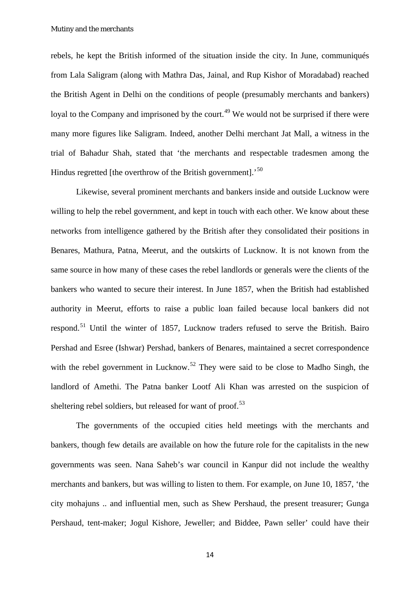rebels, he kept the British informed of the situation inside the city. In June, communiqués from Lala Saligram (along with Mathra Das, Jainal, and Rup Kishor of Moradabad) reached the British Agent in Delhi on the conditions of people (presumably merchants and bankers) loyal to the Company and imprisoned by the court.<sup>[49](#page-33-8)</sup> We would not be surprised if there were many more figures like Saligram. Indeed, another Delhi merchant Jat Mall, a witness in the trial of Bahadur Shah, stated that 'the merchants and respectable tradesmen among the Hindus regretted [the overthrow of the British government].<sup>[50](#page-33-9)</sup>

Likewise, several prominent merchants and bankers inside and outside Lucknow were willing to help the rebel government, and kept in touch with each other. We know about these networks from intelligence gathered by the British after they consolidated their positions in Benares, Mathura, Patna, Meerut, and the outskirts of Lucknow. It is not known from the same source in how many of these cases the rebel landlords or generals were the clients of the bankers who wanted to secure their interest. In June 1857, when the British had established authority in Meerut, efforts to raise a public loan failed because local bankers did not respond.<sup>[51](#page-33-10)</sup> Until the winter of 1857, Lucknow traders refused to serve the British. Bairo Pershad and Esree (Ishwar) Pershad, bankers of Benares, maintained a secret correspondence with the rebel government in Lucknow.<sup>[52](#page-33-11)</sup> They were said to be close to Madho Singh, the landlord of Amethi. The Patna banker Lootf Ali Khan was arrested on the suspicion of sheltering rebel soldiers, but released for want of proof.<sup>[53](#page-33-12)</sup>

The governments of the occupied cities held meetings with the merchants and bankers, though few details are available on how the future role for the capitalists in the new governments was seen. Nana Saheb's war council in Kanpur did not include the wealthy merchants and bankers, but was willing to listen to them. For example, on June 10, 1857, 'the city mohajuns .. and influential men, such as Shew Pershaud, the present treasurer; Gunga Pershaud, tent-maker; Jogul Kishore, Jeweller; and Biddee, Pawn seller' could have their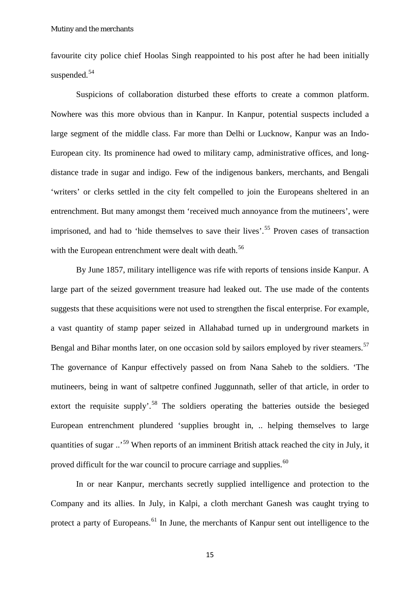favourite city police chief Hoolas Singh reappointed to his post after he had been initially suspended.<sup>[54](#page-33-13)</sup>

Suspicions of collaboration disturbed these efforts to create a common platform. Nowhere was this more obvious than in Kanpur. In Kanpur, potential suspects included a large segment of the middle class. Far more than Delhi or Lucknow, Kanpur was an Indo-European city. Its prominence had owed to military camp, administrative offices, and longdistance trade in sugar and indigo. Few of the indigenous bankers, merchants, and Bengali 'writers' or clerks settled in the city felt compelled to join the Europeans sheltered in an entrenchment. But many amongst them 'received much annoyance from the mutineers', were imprisoned, and had to 'hide themselves to save their lives'.<sup>[55](#page-33-14)</sup> Proven cases of transaction with the European entrenchment were dealt with death.<sup>[56](#page-33-15)</sup>

By June 1857, military intelligence was rife with reports of tensions inside Kanpur. A large part of the seized government treasure had leaked out. The use made of the contents suggests that these acquisitions were not used to strengthen the fiscal enterprise. For example, a vast quantity of stamp paper seized in Allahabad turned up in underground markets in Bengal and Bihar months later, on one occasion sold by sailors employed by river steamers.<sup>[57](#page-33-16)</sup> The governance of Kanpur effectively passed on from Nana Saheb to the soldiers. 'The mutineers, being in want of saltpetre confined Juggunnath, seller of that article, in order to extort the requisite supply'.<sup>[58](#page-33-17)</sup> The soldiers operating the batteries outside the besieged European entrenchment plundered 'supplies brought in, .. helping themselves to large quantities of sugar ..'[59](#page-33-18) When reports of an imminent British attack reached the city in July, it proved difficult for the war council to procure carriage and supplies.<sup>[60](#page-33-19)</sup>

In or near Kanpur, merchants secretly supplied intelligence and protection to the Company and its allies. In July, in Kalpi, a cloth merchant Ganesh was caught trying to protect a party of Europeans.<sup>[61](#page-33-20)</sup> In June, the merchants of Kanpur sent out intelligence to the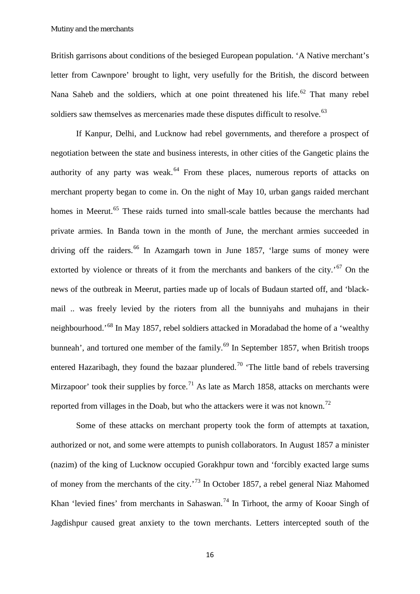British garrisons about conditions of the besieged European population. 'A Native merchant's letter from Cawnpore' brought to light, very usefully for the British, the discord between Nana Saheb and the soldiers, which at one point threatened his life.<sup>[62](#page-34-0)</sup> That many rebel soldiers saw themselves as mercenaries made these disputes difficult to resolve.<sup>[63](#page-34-1)</sup>

If Kanpur, Delhi, and Lucknow had rebel governments, and therefore a prospect of negotiation between the state and business interests, in other cities of the Gangetic plains the authority of any party was weak. $64$  From these places, numerous reports of attacks on merchant property began to come in. On the night of May 10, urban gangs raided merchant homes in Meerut.<sup>[65](#page-34-3)</sup> These raids turned into small-scale battles because the merchants had private armies. In Banda town in the month of June, the merchant armies succeeded in driving off the raiders.<sup>[66](#page-34-4)</sup> In Azamgarh town in June 1857, 'large sums of money were extorted by violence or threats of it from the merchants and bankers of the city.<sup> $67$ </sup> On the news of the outbreak in Meerut, parties made up of locals of Budaun started off, and 'blackmail .. was freely levied by the rioters from all the bunniyahs and muhajans in their neighbourhood.'[68](#page-34-6) In May 1857, rebel soldiers attacked in Moradabad the home of a 'wealthy bunneah', and tortured one member of the family.<sup>[69](#page-34-7)</sup> In September 1857, when British troops entered Hazaribagh, they found the bazaar plundered.<sup>[70](#page-34-8)</sup> 'The little band of rebels traversing Mirzapoor' took their supplies by force.<sup>[71](#page-34-9)</sup> As late as March 1858, attacks on merchants were reported from villages in the Doab, but who the attackers were it was not known.<sup>[72](#page-34-10)</sup>

Some of these attacks on merchant property took the form of attempts at taxation, authorized or not, and some were attempts to punish collaborators. In August 1857 a minister (nazim) of the king of Lucknow occupied Gorakhpur town and 'forcibly exacted large sums of money from the merchants of the city.'[73](#page-34-11) In October 1857, a rebel general Niaz Mahomed Khan 'levied fines' from merchants in Sahaswan.<sup>[74](#page-34-12)</sup> In Tirhoot, the army of Kooar Singh of Jagdishpur caused great anxiety to the town merchants. Letters intercepted south of the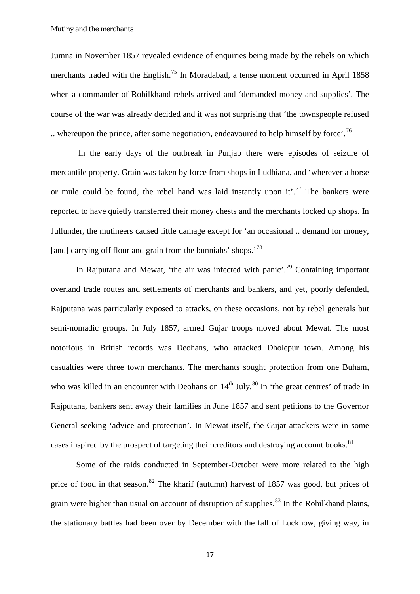Jumna in November 1857 revealed evidence of enquiries being made by the rebels on which merchants traded with the English.<sup>[75](#page-34-13)</sup> In Moradabad, a tense moment occurred in April 1858 when a commander of Rohilkhand rebels arrived and 'demanded money and supplies'. The course of the war was already decided and it was not surprising that 'the townspeople refused .. whereupon the prince, after some negotiation, endeavoured to help himself by force'.<sup>[76](#page-34-14)</sup>

In the early days of the outbreak in Punjab there were episodes of seizure of mercantile property. Grain was taken by force from shops in Ludhiana, and 'wherever a horse or mule could be found, the rebel hand was laid instantly upon it'.<sup>[77](#page-34-15)</sup> The bankers were reported to have quietly transferred their money chests and the merchants locked up shops. In Jullunder, the mutineers caused little damage except for 'an occasional .. demand for money, [and] carrying off flour and grain from the bunniahs' shops.<sup>[78](#page-34-16)</sup>

In Rajputana and Mewat, 'the air was infected with panic'.<sup>[79](#page-34-17)</sup> Containing important overland trade routes and settlements of merchants and bankers, and yet, poorly defended, Rajputana was particularly exposed to attacks, on these occasions, not by rebel generals but semi-nomadic groups. In July 1857, armed Gujar troops moved about Mewat. The most notorious in British records was Deohans, who attacked Dholepur town. Among his casualties were three town merchants. The merchants sought protection from one Buham, who was killed in an encounter with Deohans on  $14<sup>th</sup>$  July.<sup>[80](#page-34-18)</sup> In 'the great centres' of trade in Rajputana, bankers sent away their families in June 1857 and sent petitions to the Governor General seeking 'advice and protection'. In Mewat itself, the Gujar attackers were in some cases inspired by the prospect of targeting their creditors and destroying account books.<sup>[81](#page-34-19)</sup>

Some of the raids conducted in September-October were more related to the high price of food in that season.<sup>[82](#page-34-20)</sup> The kharif (autumn) harvest of 1857 was good, but prices of grain were higher than usual on account of disruption of supplies.<sup>[83](#page-34-21)</sup> In the Rohilkhand plains, the stationary battles had been over by December with the fall of Lucknow, giving way, in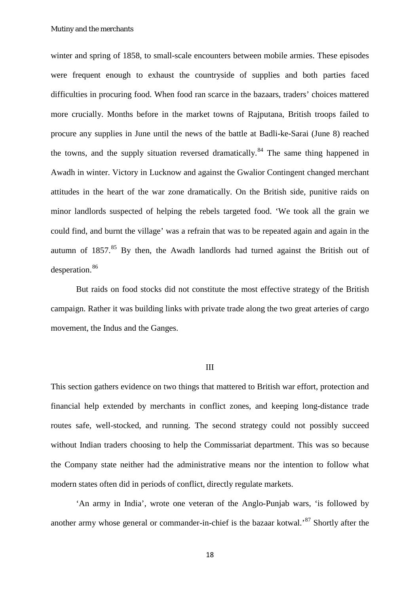winter and spring of 1858, to small-scale encounters between mobile armies. These episodes were frequent enough to exhaust the countryside of supplies and both parties faced difficulties in procuring food. When food ran scarce in the bazaars, traders' choices mattered more crucially. Months before in the market towns of Rajputana, British troops failed to procure any supplies in June until the news of the battle at Badli-ke-Sarai (June 8) reached the towns, and the supply situation reversed dramatically.<sup>[84](#page-35-0)</sup> The same thing happened in Awadh in winter. Victory in Lucknow and against the Gwalior Contingent changed merchant attitudes in the heart of the war zone dramatically. On the British side, punitive raids on minor landlords suspected of helping the rebels targeted food. 'We took all the grain we could find, and burnt the village' was a refrain that was to be repeated again and again in the autumn of  $1857$  $1857$  $1857$ .<sup>85</sup> By then, the Awadh landlords had turned against the British out of desperation.<sup>[86](#page-35-2)</sup>

But raids on food stocks did not constitute the most effective strategy of the British campaign. Rather it was building links with private trade along the two great arteries of cargo movement, the Indus and the Ganges.

#### III

This section gathers evidence on two things that mattered to British war effort, protection and financial help extended by merchants in conflict zones, and keeping long-distance trade routes safe, well-stocked, and running. The second strategy could not possibly succeed without Indian traders choosing to help the Commissariat department. This was so because the Company state neither had the administrative means nor the intention to follow what modern states often did in periods of conflict, directly regulate markets.

'An army in India', wrote one veteran of the Anglo-Punjab wars, 'is followed by another army whose general or commander-in-chief is the bazaar kotwal.'[87](#page-35-3) Shortly after the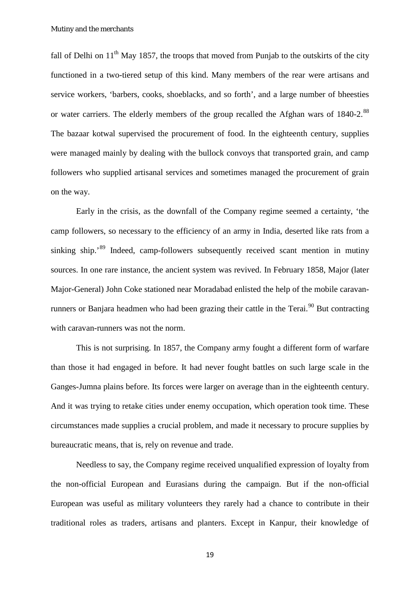fall of Delhi on  $11<sup>th</sup>$  May 1857, the troops that moved from Punjab to the outskirts of the city functioned in a two-tiered setup of this kind. Many members of the rear were artisans and service workers, 'barbers, cooks, shoeblacks, and so forth', and a large number of bheesties or water carriers. The elderly members of the group recalled the Afghan wars of 1840-2.<sup>[88](#page-35-4)</sup> The bazaar kotwal supervised the procurement of food. In the eighteenth century, supplies were managed mainly by dealing with the bullock convoys that transported grain, and camp followers who supplied artisanal services and sometimes managed the procurement of grain on the way.

Early in the crisis, as the downfall of the Company regime seemed a certainty, 'the camp followers, so necessary to the efficiency of an army in India, deserted like rats from a sinking ship.'[89](#page-35-5) Indeed, camp-followers subsequently received scant mention in mutiny sources. In one rare instance, the ancient system was revived. In February 1858, Major (later Major-General) John Coke stationed near Moradabad enlisted the help of the mobile caravan-runners or Banjara headmen who had been grazing their cattle in the Terai.<sup>[90](#page-35-6)</sup> But contracting with caravan-runners was not the norm.

This is not surprising. In 1857, the Company army fought a different form of warfare than those it had engaged in before. It had never fought battles on such large scale in the Ganges-Jumna plains before. Its forces were larger on average than in the eighteenth century. And it was trying to retake cities under enemy occupation, which operation took time. These circumstances made supplies a crucial problem, and made it necessary to procure supplies by bureaucratic means, that is, rely on revenue and trade.

Needless to say, the Company regime received unqualified expression of loyalty from the non-official European and Eurasians during the campaign. But if the non-official European was useful as military volunteers they rarely had a chance to contribute in their traditional roles as traders, artisans and planters. Except in Kanpur, their knowledge of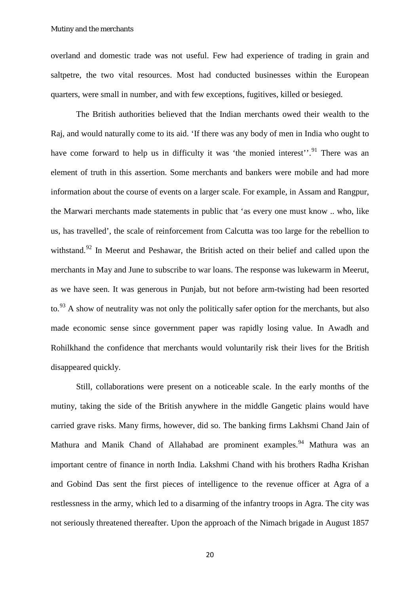overland and domestic trade was not useful. Few had experience of trading in grain and saltpetre, the two vital resources. Most had conducted businesses within the European quarters, were small in number, and with few exceptions, fugitives, killed or besieged.

The British authorities believed that the Indian merchants owed their wealth to the Raj, and would naturally come to its aid. 'If there was any body of men in India who ought to have come forward to help us in difficulty it was 'the monied interest'.<sup>[91](#page-35-7)</sup> There was an element of truth in this assertion. Some merchants and bankers were mobile and had more information about the course of events on a larger scale. For example, in Assam and Rangpur, the Marwari merchants made statements in public that 'as every one must know .. who, like us, has travelled', the scale of reinforcement from Calcutta was too large for the rebellion to withstand.<sup>[92](#page-35-8)</sup> In Meerut and Peshawar, the British acted on their belief and called upon the merchants in May and June to subscribe to war loans. The response was lukewarm in Meerut, as we have seen. It was generous in Punjab, but not before arm-twisting had been resorted to.<sup>[93](#page-35-9)</sup> A show of neutrality was not only the politically safer option for the merchants, but also made economic sense since government paper was rapidly losing value. In Awadh and Rohilkhand the confidence that merchants would voluntarily risk their lives for the British disappeared quickly.

Still, collaborations were present on a noticeable scale. In the early months of the mutiny, taking the side of the British anywhere in the middle Gangetic plains would have carried grave risks. Many firms, however, did so. The banking firms Lakhsmi Chand Jain of Mathura and Manik Chand of Allahabad are prominent examples.<sup>[94](#page-35-10)</sup> Mathura was an important centre of finance in north India. Lakshmi Chand with his brothers Radha Krishan and Gobind Das sent the first pieces of intelligence to the revenue officer at Agra of a restlessness in the army, which led to a disarming of the infantry troops in Agra. The city was not seriously threatened thereafter. Upon the approach of the Nimach brigade in August 1857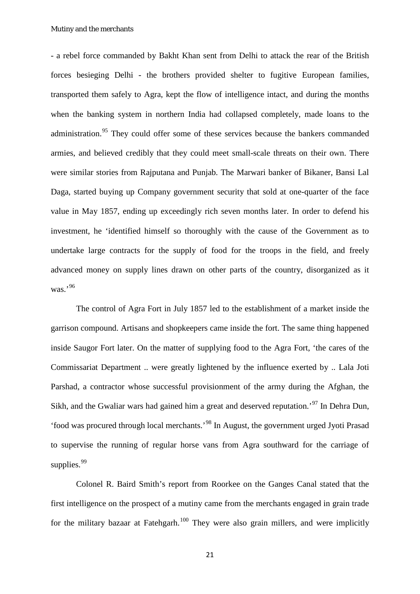- a rebel force commanded by Bakht Khan sent from Delhi to attack the rear of the British forces besieging Delhi - the brothers provided shelter to fugitive European families, transported them safely to Agra, kept the flow of intelligence intact, and during the months when the banking system in northern India had collapsed completely, made loans to the administration.<sup>[95](#page-35-11)</sup> They could offer some of these services because the bankers commanded armies, and believed credibly that they could meet small-scale threats on their own. There were similar stories from Rajputana and Punjab. The Marwari banker of Bikaner, Bansi Lal Daga, started buying up Company government security that sold at one-quarter of the face value in May 1857, ending up exceedingly rich seven months later. In order to defend his investment, he 'identified himself so thoroughly with the cause of the Government as to undertake large contracts for the supply of food for the troops in the field, and freely advanced money on supply lines drawn on other parts of the country, disorganized as it was.'[96](#page-35-12)

The control of Agra Fort in July 1857 led to the establishment of a market inside the garrison compound. Artisans and shopkeepers came inside the fort. The same thing happened inside Saugor Fort later. On the matter of supplying food to the Agra Fort, 'the cares of the Commissariat Department .. were greatly lightened by the influence exerted by .. Lala Joti Parshad, a contractor whose successful provisionment of the army during the Afghan, the Sikh, and the Gwaliar wars had gained him a great and deserved reputation.<sup>[97](#page-35-13)</sup> In Dehra Dun, 'food was procured through local merchants.'[98](#page-35-14) In August, the government urged Jyoti Prasad to supervise the running of regular horse vans from Agra southward for the carriage of supplies.<sup>[99](#page-35-15)</sup>

Colonel R. Baird Smith's report from Roorkee on the Ganges Canal stated that the first intelligence on the prospect of a mutiny came from the merchants engaged in grain trade for the military bazaar at Fatehgarh.<sup>[100](#page-35-16)</sup> They were also grain millers, and were implicitly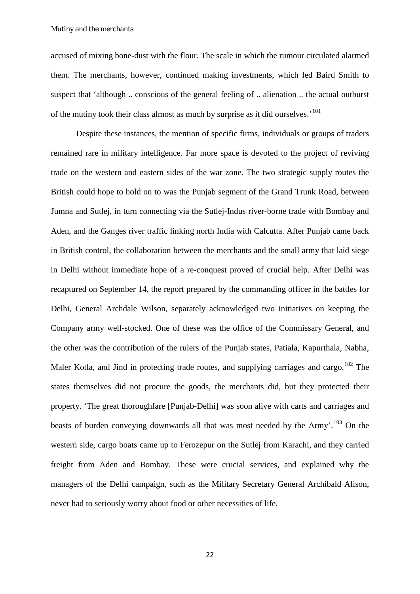accused of mixing bone-dust with the flour. The scale in which the rumour circulated alarmed them. The merchants, however, continued making investments, which led Baird Smith to suspect that 'although .. conscious of the general feeling of .. alienation .. the actual outburst of the mutiny took their class almost as much by surprise as it did ourselves.<sup>'[101](#page-35-17)</sup>

Despite these instances, the mention of specific firms, individuals or groups of traders remained rare in military intelligence. Far more space is devoted to the project of reviving trade on the western and eastern sides of the war zone. The two strategic supply routes the British could hope to hold on to was the Punjab segment of the Grand Trunk Road, between Jumna and Sutlej, in turn connecting via the Sutlej-Indus river-borne trade with Bombay and Aden, and the Ganges river traffic linking north India with Calcutta. After Punjab came back in British control, the collaboration between the merchants and the small army that laid siege in Delhi without immediate hope of a re-conquest proved of crucial help. After Delhi was recaptured on September 14, the report prepared by the commanding officer in the battles for Delhi, General Archdale Wilson, separately acknowledged two initiatives on keeping the Company army well-stocked. One of these was the office of the Commissary General, and the other was the contribution of the rulers of the Punjab states, Patiala, Kapurthala, Nabha, Maler Kotla, and Jind in protecting trade routes, and supplying carriages and cargo.<sup>[102](#page-35-18)</sup> The states themselves did not procure the goods, the merchants did, but they protected their property. 'The great thoroughfare [Punjab-Delhi] was soon alive with carts and carriages and beasts of burden conveying downwards all that was most needed by the Army'.<sup>[103](#page-35-19)</sup> On the western side, cargo boats came up to Ferozepur on the Sutlej from Karachi, and they carried freight from Aden and Bombay. These were crucial services, and explained why the managers of the Delhi campaign, such as the Military Secretary General Archibald Alison, never had to seriously worry about food or other necessities of life.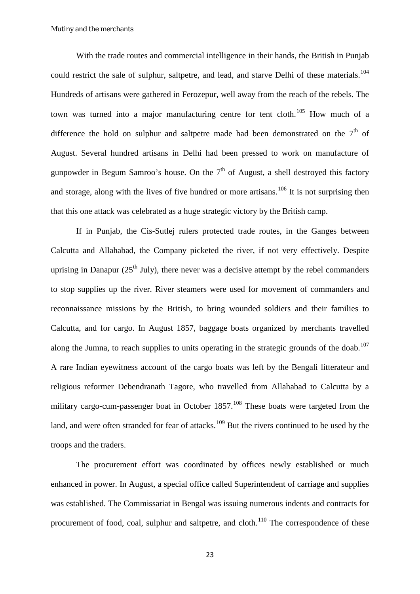With the trade routes and commercial intelligence in their hands, the British in Punjab could restrict the sale of sulphur, saltpetre, and lead, and starve Delhi of these materials.<sup>[104](#page-35-20)</sup> Hundreds of artisans were gathered in Ferozepur, well away from the reach of the rebels. The town was turned into a major manufacturing centre for tent cloth.<sup>[105](#page-36-0)</sup> How much of a difference the hold on sulphur and saltpetre made had been demonstrated on the  $7<sup>th</sup>$  of August. Several hundred artisans in Delhi had been pressed to work on manufacture of gunpowder in Begum Samroo's house. On the  $7<sup>th</sup>$  of August, a shell destroyed this factory and storage, along with the lives of five hundred or more artisans.<sup>[106](#page-36-1)</sup> It is not surprising then that this one attack was celebrated as a huge strategic victory by the British camp.

If in Punjab, the Cis-Sutlej rulers protected trade routes, in the Ganges between Calcutta and Allahabad, the Company picketed the river, if not very effectively. Despite uprising in Danapur  $(25<sup>th</sup>$  July), there never was a decisive attempt by the rebel commanders to stop supplies up the river. River steamers were used for movement of commanders and reconnaissance missions by the British, to bring wounded soldiers and their families to Calcutta, and for cargo. In August 1857, baggage boats organized by merchants travelled along the Jumna, to reach supplies to units operating in the strategic grounds of the doab.<sup>[107](#page-36-2)</sup> A rare Indian eyewitness account of the cargo boats was left by the Bengali litterateur and religious reformer Debendranath Tagore, who travelled from Allahabad to Calcutta by a military cargo-cum-passenger boat in October  $1857$ <sup>[108](#page-36-3)</sup>. These boats were targeted from the land, and were often stranded for fear of attacks.<sup>[109](#page-36-4)</sup> But the rivers continued to be used by the troops and the traders.

The procurement effort was coordinated by offices newly established or much enhanced in power. In August, a special office called Superintendent of carriage and supplies was established. The Commissariat in Bengal was issuing numerous indents and contracts for procurement of food, coal, sulphur and saltpetre, and cloth.<sup>[110](#page-36-5)</sup> The correspondence of these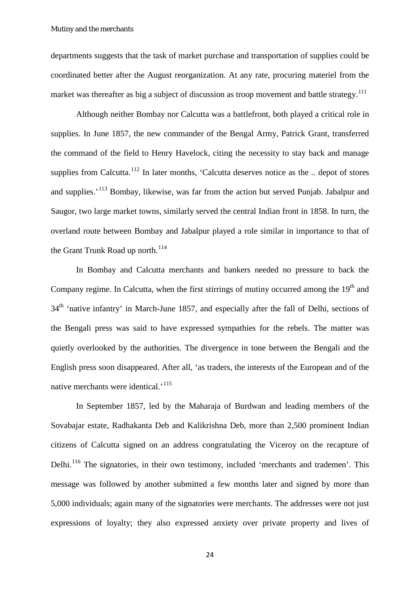departments suggests that the task of market purchase and transportation of supplies could be coordinated better after the August reorganization. At any rate, procuring materiel from the market was thereafter as big a subject of discussion as troop movement and battle strategy.<sup>[111](#page-36-6)</sup>

Although neither Bombay nor Calcutta was a battlefront, both played a critical role in supplies. In June 1857, the new commander of the Bengal Army, Patrick Grant, transferred the command of the field to Henry Havelock, citing the necessity to stay back and manage supplies from Calcutta.<sup>[112](#page-36-7)</sup> In later months, 'Calcutta deserves notice as the .. depot of stores and supplies.<sup>'[113](#page-36-8)</sup> Bombay, likewise, was far from the action but served Punjab. Jabalpur and Saugor, two large market towns, similarly served the central Indian front in 1858. In turn, the overland route between Bombay and Jabalpur played a role similar in importance to that of the Grant Trunk Road up north.<sup>[114](#page-36-9)</sup>

In Bombay and Calcutta merchants and bankers needed no pressure to back the Company regime. In Calcutta, when the first stirrings of mutiny occurred among the  $19<sup>th</sup>$  and 34<sup>th</sup> 'native infantry' in March-June 1857, and especially after the fall of Delhi, sections of the Bengali press was said to have expressed sympathies for the rebels. The matter was quietly overlooked by the authorities. The divergence in tone between the Bengali and the English press soon disappeared. After all, 'as traders, the interests of the European and of the native merchants were identical.<sup>'[115](#page-36-10)</sup>

In September 1857, led by the Maharaja of Burdwan and leading members of the Sovabajar estate, Radhakanta Deb and Kalikrishna Deb, more than 2,500 prominent Indian citizens of Calcutta signed on an address congratulating the Viceroy on the recapture of Delhi.<sup>[116](#page-36-11)</sup> The signatories, in their own testimony, included 'merchants and trademen'. This message was followed by another submitted a few months later and signed by more than 5,000 individuals; again many of the signatories were merchants. The addresses were not just expressions of loyalty; they also expressed anxiety over private property and lives of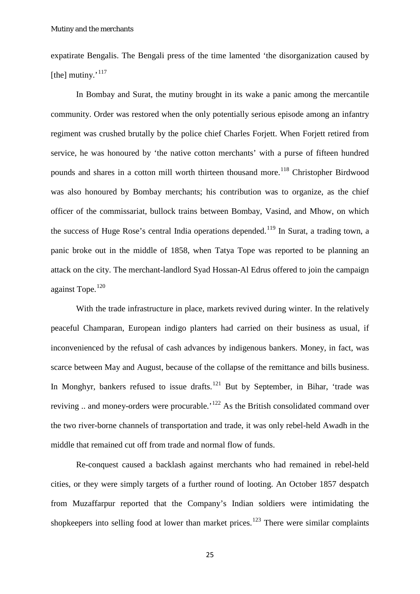expatirate Bengalis. The Bengali press of the time lamented 'the disorganization caused by [the] mutiny. $117$ ]

In Bombay and Surat, the mutiny brought in its wake a panic among the mercantile community. Order was restored when the only potentially serious episode among an infantry regiment was crushed brutally by the police chief Charles Forjett. When Forjett retired from service, he was honoured by 'the native cotton merchants' with a purse of fifteen hundred pounds and shares in a cotton mill worth thirteen thousand more.<sup>[118](#page-36-13)</sup> Christopher Birdwood was also honoured by Bombay merchants; his contribution was to organize, as the chief officer of the commissariat, bullock trains between Bombay, Vasind, and Mhow, on which the success of Huge Rose's central India operations depended.<sup>[119](#page-36-14)</sup> In Surat, a trading town, a panic broke out in the middle of 1858, when Tatya Tope was reported to be planning an attack on the city. The merchant-landlord Syad Hossan-Al Edrus offered to join the campaign against Tope.<sup>[120](#page-36-15)</sup>

With the trade infrastructure in place, markets revived during winter. In the relatively peaceful Champaran, European indigo planters had carried on their business as usual, if inconvenienced by the refusal of cash advances by indigenous bankers. Money, in fact, was scarce between May and August, because of the collapse of the remittance and bills business. In Monghyr, bankers refused to issue drafts.<sup>[121](#page-36-16)</sup> But by September, in Bihar, 'trade was reviving .. and money-orders were procurable.<sup>'[122](#page-36-17)</sup> As the British consolidated command over the two river-borne channels of transportation and trade, it was only rebel-held Awadh in the middle that remained cut off from trade and normal flow of funds.

Re-conquest caused a backlash against merchants who had remained in rebel-held cities, or they were simply targets of a further round of looting. An October 1857 despatch from Muzaffarpur reported that the Company's Indian soldiers were intimidating the shopkeepers into selling food at lower than market prices.<sup>[123](#page-36-18)</sup> There were similar complaints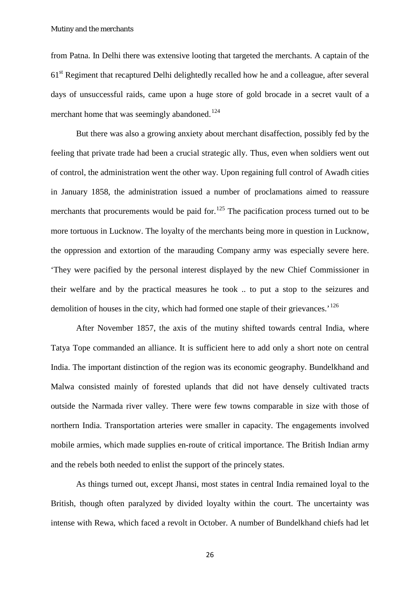from Patna. In Delhi there was extensive looting that targeted the merchants. A captain of the 61st Regiment that recaptured Delhi delightedly recalled how he and a colleague, after several days of unsuccessful raids, came upon a huge store of gold brocade in a secret vault of a merchant home that was seemingly abandoned.<sup>[124](#page-36-19)</sup>

But there was also a growing anxiety about merchant disaffection, possibly fed by the feeling that private trade had been a crucial strategic ally. Thus, even when soldiers went out of control, the administration went the other way. Upon regaining full control of Awadh cities in January 1858, the administration issued a number of proclamations aimed to reassure merchants that procurements would be paid for.<sup>[125](#page-36-20)</sup> The pacification process turned out to be more tortuous in Lucknow. The loyalty of the merchants being more in question in Lucknow, the oppression and extortion of the marauding Company army was especially severe here. 'They were pacified by the personal interest displayed by the new Chief Commissioner in their welfare and by the practical measures he took .. to put a stop to the seizures and demolition of houses in the city, which had formed one staple of their grievances.<sup> $126$ </sup>

After November 1857, the axis of the mutiny shifted towards central India, where Tatya Tope commanded an alliance. It is sufficient here to add only a short note on central India. The important distinction of the region was its economic geography. Bundelkhand and Malwa consisted mainly of forested uplands that did not have densely cultivated tracts outside the Narmada river valley. There were few towns comparable in size with those of northern India. Transportation arteries were smaller in capacity. The engagements involved mobile armies, which made supplies en-route of critical importance. The British Indian army and the rebels both needed to enlist the support of the princely states.

As things turned out, except Jhansi, most states in central India remained loyal to the British, though often paralyzed by divided loyalty within the court. The uncertainty was intense with Rewa, which faced a revolt in October. A number of Bundelkhand chiefs had let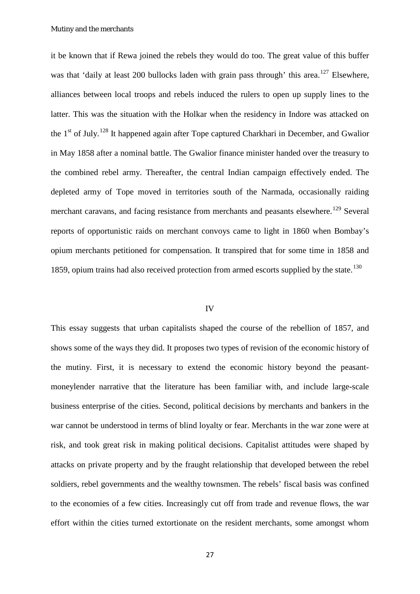it be known that if Rewa joined the rebels they would do too. The great value of this buffer was that 'daily at least 200 bullocks laden with grain pass through' this area.<sup>[127](#page-37-0)</sup> Elsewhere, alliances between local troops and rebels induced the rulers to open up supply lines to the latter. This was the situation with the Holkar when the residency in Indore was attacked on the 1<sup>st</sup> of July.<sup>[128](#page-37-1)</sup> It happened again after Tope captured Charkhari in December, and Gwalior in May 1858 after a nominal battle. The Gwalior finance minister handed over the treasury to the combined rebel army. Thereafter, the central Indian campaign effectively ended. The depleted army of Tope moved in territories south of the Narmada, occasionally raiding merchant caravans, and facing resistance from merchants and peasants elsewhere.<sup>[129](#page-37-2)</sup> Several reports of opportunistic raids on merchant convoys came to light in 1860 when Bombay's opium merchants petitioned for compensation. It transpired that for some time in 1858 and 1859, opium trains had also received protection from armed escorts supplied by the state.<sup>[130](#page-37-3)</sup>

#### IV

This essay suggests that urban capitalists shaped the course of the rebellion of 1857, and shows some of the ways they did. It proposes two types of revision of the economic history of the mutiny. First, it is necessary to extend the economic history beyond the peasantmoneylender narrative that the literature has been familiar with, and include large-scale business enterprise of the cities. Second, political decisions by merchants and bankers in the war cannot be understood in terms of blind loyalty or fear. Merchants in the war zone were at risk, and took great risk in making political decisions. Capitalist attitudes were shaped by attacks on private property and by the fraught relationship that developed between the rebel soldiers, rebel governments and the wealthy townsmen. The rebels' fiscal basis was confined to the economies of a few cities. Increasingly cut off from trade and revenue flows, the war effort within the cities turned extortionate on the resident merchants, some amongst whom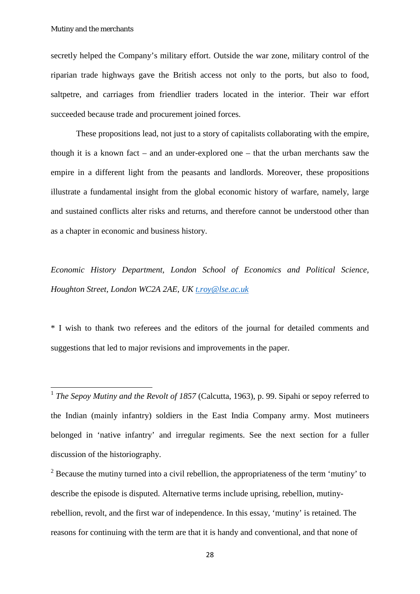secretly helped the Company's military effort. Outside the war zone, military control of the riparian trade highways gave the British access not only to the ports, but also to food, saltpetre, and carriages from friendlier traders located in the interior. Their war effort succeeded because trade and procurement joined forces.

These propositions lead, not just to a story of capitalists collaborating with the empire, though it is a known fact – and an under-explored one – that the urban merchants saw the empire in a different light from the peasants and landlords. Moreover, these propositions illustrate a fundamental insight from the global economic history of warfare, namely, large and sustained conflicts alter risks and returns, and therefore cannot be understood other than as a chapter in economic and business history.

*Economic History Department, London School of Economics and Political Science, Houghton Street, London WC2A 2AE, UK [t.roy@lse.ac.uk](mailto:t.roy@lse.ac.uk)*

\* I wish to thank two referees and the editors of the journal for detailed comments and suggestions that led to major revisions and improvements in the paper.

<span id="page-28-0"></span><sup>&</sup>lt;sup>1</sup> *The Sepoy Mutiny and the Revolt of 1857* (Calcutta, 1963), p. 99. Sipahi or sepoy referred to the Indian (mainly infantry) soldiers in the East India Company army. Most mutineers belonged in 'native infantry' and irregular regiments. See the next section for a fuller discussion of the historiography.

<span id="page-28-1"></span> $2^2$  Because the mutiny turned into a civil rebellion, the appropriateness of the term 'mutiny' to describe the episode is disputed. Alternative terms include uprising, rebellion, mutinyrebellion, revolt, and the first war of independence. In this essay, 'mutiny' is retained. The reasons for continuing with the term are that it is handy and conventional, and that none of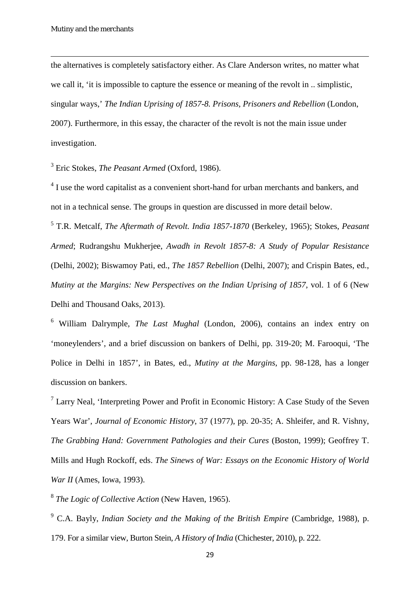**.** 

the alternatives is completely satisfactory either. As Clare Anderson writes, no matter what we call it, 'it is impossible to capture the essence or meaning of the revolt in .. simplistic, singular ways,' *The Indian Uprising of 1857-8. Prisons, Prisoners and Rebellion* (London, 2007). Furthermore, in this essay, the character of the revolt is not the main issue under investigation.

<span id="page-29-0"></span><sup>3</sup> Eric Stokes, *The Peasant Armed* (Oxford, 1986).

<span id="page-29-1"></span><sup>4</sup> I use the word capitalist as a convenient short-hand for urban merchants and bankers, and not in a technical sense. The groups in question are discussed in more detail below.

<span id="page-29-2"></span><sup>5</sup> T.R. Metcalf, *The Aftermath of Revolt. India 1857-1870* (Berkeley, 1965); Stokes, *Peasant Armed*; Rudrangshu Mukherjee, *Awadh in Revolt 1857-8: A Study of Popular Resistance* (Delhi, 2002); Biswamoy Pati, ed., *The 1857 Rebellion* (Delhi, 2007); and Crispin Bates, ed., *Mutiny at the Margins: New Perspectives on the Indian Uprising of 1857*, vol. 1 of 6 (New Delhi and Thousand Oaks, 2013).

<span id="page-29-3"></span><sup>6</sup> William Dalrymple, *The Last Mughal* (London, 2006), contains an index entry on 'moneylenders', and a brief discussion on bankers of Delhi, pp. 319-20; M. Farooqui, 'The Police in Delhi in 1857', in Bates, ed., *Mutiny at the Margins*, pp. 98-128, has a longer discussion on bankers.

<span id="page-29-4"></span> $<sup>7</sup>$  Larry Neal, 'Interpreting Power and Profit in Economic History: A Case Study of the Seven</sup> Years War', *Journal of Economic History*, 37 (1977), pp. 20-35; A. Shleifer, and R. Vishny, *The Grabbing Hand: Government Pathologies and their Cures* (Boston, 1999); Geoffrey T. Mills and Hugh Rockoff, eds. *The Sinews of War: Essays on the Economic History of World War II* (Ames, Iowa, 1993).

<span id="page-29-5"></span><sup>8</sup> *The Logic of Collective Action* (New Haven, 1965).

<span id="page-29-6"></span><sup>9</sup> C.A. Bayly, *Indian Society and the Making of the British Empire* (Cambridge, 1988), p. 179. For a similar view, Burton Stein, *A History of India* (Chichester, 2010), p. 222.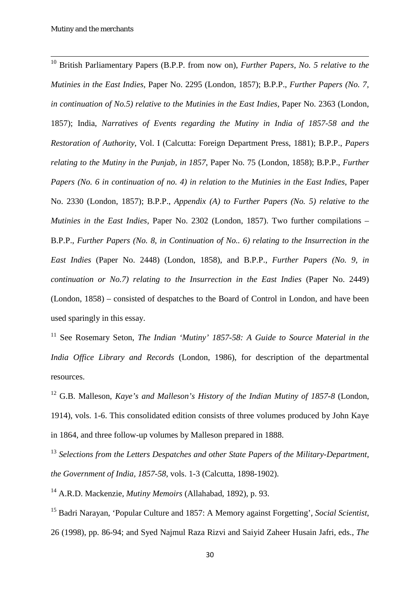<span id="page-30-0"></span> <sup>10</sup> British Parliamentary Papers (B.P.P. from now on), *Further Papers, No. 5 relative to the Mutinies in the East Indies*, Paper No. 2295 (London, 1857); B.P.P., *Further Papers (No. 7, in continuation of No.5) relative to the Mutinies in the East Indies*, Paper No. 2363 (London, 1857); India, *Narratives of Events regarding the Mutiny in India of 1857-58 and the Restoration of Authority*, Vol. I (Calcutta: Foreign Department Press, 1881); B.P.P., *Papers relating to the Mutiny in the Punjab, in 1857*, Paper No. 75 (London, 1858); B.P.P., *Further Papers (No. 6 in continuation of no. 4) in relation to the Mutinies in the East Indies*, Paper No. 2330 (London, 1857); B.P.P., *Appendix (A) to Further Papers (No. 5) relative to the Mutinies in the East Indies*, Paper No. 2302 (London, 1857). Two further compilations – B.P.P., *Further Papers (No. 8, in Continuation of No.. 6) relating to the Insurrection in the East Indies* (Paper No. 2448) (London, 1858), and B.P.P., *Further Papers (No. 9, in continuation or No.7) relating to the Insurrection in the East Indies* (Paper No. 2449) (London, 1858) – consisted of despatches to the Board of Control in London, and have been used sparingly in this essay.

<span id="page-30-1"></span><sup>11</sup> See Rosemary Seton, *The Indian 'Mutiny' 1857-58: A Guide to Source Material in the India Office Library and Records* (London, 1986), for description of the departmental resources.

<span id="page-30-2"></span><sup>12</sup> G.B. Malleson, *Kaye's and Malleson's History of the Indian Mutiny of 1857-8* (London, 1914), vols. 1-6. This consolidated edition consists of three volumes produced by John Kaye in 1864, and three follow-up volumes by Malleson prepared in 1888.

<span id="page-30-3"></span><sup>13</sup> Selections from the Letters Despatches and other State Papers of the Military-Department, *the Government of India, 1857-58*, vols. 1-3 (Calcutta, 1898-1902).

<span id="page-30-4"></span><sup>14</sup> A.R.D. Mackenzie, *Mutiny Memoirs* (Allahabad, 1892), p. 93.

<span id="page-30-5"></span><sup>15</sup> Badri Narayan, 'Popular Culture and 1857: A Memory against Forgetting', *Social Scientist*, 26 (1998), pp. 86-94; and Syed Najmul Raza Rizvi and Saiyid Zaheer Husain Jafri, eds., *The*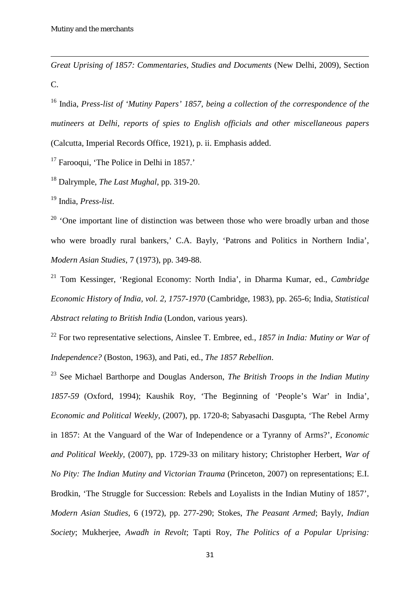**.** 

*Great Uprising of 1857: Commentaries, Studies and Documents* (New Delhi, 2009), Section C.

<span id="page-31-0"></span><sup>16</sup> India, *Press-list of 'Mutiny Papers' 1857, being a collection of the correspondence of the mutineers at Delhi, reports of spies to English officials and other miscellaneous papers* (Calcutta, Imperial Records Office, 1921), p. ii. Emphasis added.

<span id="page-31-1"></span> $17$  Farooqui, 'The Police in Delhi in 1857.'

<span id="page-31-2"></span><sup>18</sup> Dalrymple, *The Last Mughal*, pp. 319-20.

<span id="page-31-3"></span><sup>19</sup> India, *Press-list*.

<span id="page-31-4"></span><sup>20</sup> 'One important line of distinction was between those who were broadly urban and those who were broadly rural bankers,' C.A. Bayly, 'Patrons and Politics in Northern India', *Modern Asian Studies*, 7 (1973), pp. 349-88.

<span id="page-31-5"></span><sup>21</sup> Tom Kessinger, 'Regional Economy: North India', in Dharma Kumar, ed., *Cambridge Economic History of India, vol. 2, 1757-1970* (Cambridge, 1983), pp. 265-6; India, *Statistical Abstract relating to British India* (London, various years).

<span id="page-31-6"></span><sup>22</sup> For two representative selections, Ainslee T. Embree, ed., *1857 in India: Mutiny or War of Independence?* (Boston, 1963), and Pati, ed., *The 1857 Rebellion*.

<span id="page-31-7"></span><sup>23</sup> See Michael Barthorpe and Douglas Anderson, *The British Troops in the Indian Mutiny 1857-59* (Oxford, 1994); Kaushik Roy, 'The Beginning of 'People's War' in India', *Economic and Political Weekly*, (2007), pp. 1720-8; Sabyasachi Dasgupta, 'The Rebel Army in 1857: At the Vanguard of the War of Independence or a Tyranny of Arms?', *Economic and Political Weekly*, (2007), pp. 1729-33 on military history; Christopher Herbert, *War of No Pity: The Indian Mutiny and Victorian Trauma* (Princeton, 2007) on representations; E.I. Brodkin, 'The Struggle for Succession: Rebels and Loyalists in the Indian Mutiny of 1857', *Modern Asian Studies*, 6 (1972), pp. 277-290; Stokes, *The Peasant Armed*; Bayly, *Indian Society*; Mukherjee, *Awadh in Revolt*; Tapti Roy, *The Politics of a Popular Uprising:*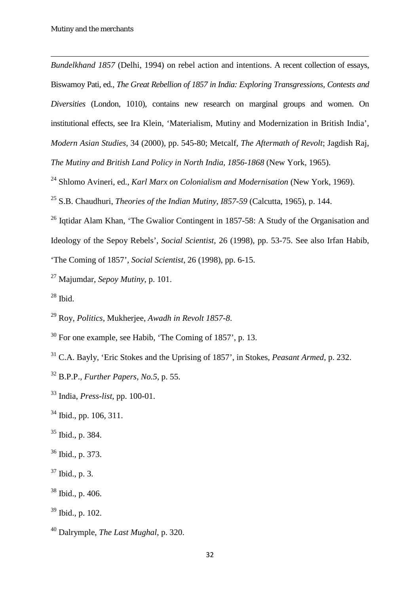**.** 

*Bundelkhand 1857* (Delhi, 1994) on rebel action and intentions. A recent collection of essays, Biswamoy Pati, ed*., The Great Rebellion of 1857 in India: Exploring Transgressions, Contests and Diversities* (London, 1010), contains new research on marginal groups and women. On institutional effects, see Ira Klein, 'Materialism, Mutiny and Modernization in British India', *Modern Asian Studies*, 34 (2000), pp. 545-80; Metcalf, *The Aftermath of Revolt*; Jagdish Raj, *The Mutiny and British Land Policy in North India, 1856-1868* (New York, 1965).

- <span id="page-32-0"></span>Shlomo Avineri, ed., *Karl Marx on Colonialism and Modernisation* (New York, 1969).
- <span id="page-32-1"></span>S.B. Chaudhuri, *Theories of the Indian Mutiny, I857-59* (Calcutta, 1965), p. 144.

<span id="page-32-2"></span><sup>26</sup> Igtidar Alam Khan, 'The Gwalior Contingent in 1857-58: A Study of the Organisation and Ideology of the Sepoy Rebels', *Social Scientist*, 26 (1998), pp. 53-75. See also Irfan Habib, 'The Coming of 1857', *Social Scientist*, 26 (1998), pp. 6-15.

- <span id="page-32-3"></span>Majumdar, *Sepoy Mutiny*, p. 101.
- <span id="page-32-4"></span>Ibid.

<span id="page-32-5"></span>Roy, *Politics*, Mukherjee, *Awadh in Revolt 1857-8*.

<span id="page-32-7"></span>C.A. Bayly, 'Eric Stokes and the Uprising of 1857', in Stokes, *Peasant Armed*, p. 232.

- <span id="page-32-11"></span>Ibid., p. 384.
- <span id="page-32-12"></span>Ibid., p. 373.
- <span id="page-32-13"></span>Ibid., p. 3.
- <span id="page-32-14"></span>Ibid., p. 406.
- <span id="page-32-15"></span>Ibid., p. 102.

<span id="page-32-6"></span>For one example, see Habib, 'The Coming of 1857', p. 13.

<span id="page-32-8"></span>B.P.P., *Further Papers, No.5*, p. 55.

<span id="page-32-9"></span>India, *Press-list*, pp. 100-01.

<span id="page-32-10"></span>Ibid., pp. 106, 311.

<span id="page-32-16"></span>Dalrymple, *The Last Mughal*, p. 320.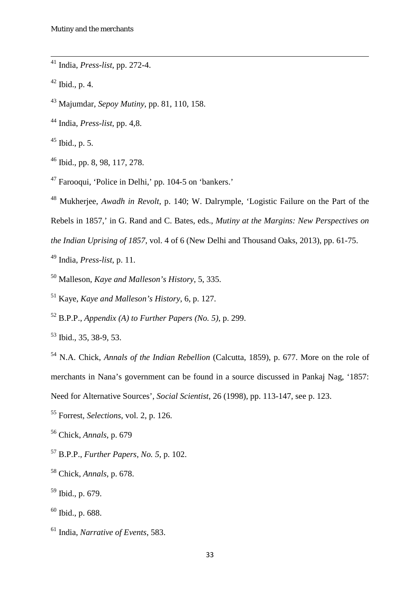<span id="page-33-0"></span><sup>41</sup> India, *Press-list*, pp. 272-4.

<span id="page-33-1"></span>Ibid., p. 4.

<span id="page-33-2"></span>Majumdar, *Sepoy Mutiny*, pp. 81, 110, 158.

<span id="page-33-3"></span>India, *Press-list*, pp. 4,8.

<span id="page-33-4"></span>Ibid., p. 5.

<span id="page-33-5"></span>Ibid., pp. 8, 98, 117, 278.

<span id="page-33-6"></span>Farooqui, 'Police in Delhi,' pp. 104-5 on 'bankers.'

<span id="page-33-7"></span>Mukherjee, *Awadh in Revolt*, p. 140; W. Dalrymple, 'Logistic Failure on the Part of the

Rebels in 1857,' in G. Rand and C. Bates, eds., *Mutiny at the Margins: New Perspectives on* 

*the Indian Uprising of 1857*, vol. 4 of 6 (New Delhi and Thousand Oaks, 2013), pp. 61-75.

<span id="page-33-8"></span>India, *Press-list*, p. 11.

<span id="page-33-9"></span>Malleson, *Kaye and Malleson's History*, 5, 335.

<span id="page-33-10"></span>Kaye, *Kaye and Malleson's History*, 6, p. 127.

<span id="page-33-11"></span>B.P.P., *Appendix (A) to Further Papers (No. 5)*, p. 299.

<span id="page-33-12"></span>Ibid., 35, 38-9, 53.

<span id="page-33-13"></span> N.A. Chick, *Annals of the Indian Rebellion* (Calcutta, 1859), p. 677. More on the role of merchants in Nana's government can be found in a source discussed in Pankaj Nag, '1857: Need for Alternative Sources', *Social Scientist*, 26 (1998), pp. 113-147, see p. 123.

<span id="page-33-14"></span>Forrest, *Selections*, vol. 2, p. 126.

<span id="page-33-15"></span>Chick, *Annals*, p. 679

<span id="page-33-16"></span>B.P.P., *Further Papers, No. 5*, p. 102.

<span id="page-33-17"></span>Chick, *Annals*, p. 678.

<span id="page-33-18"></span>Ibid., p. 679.

<span id="page-33-19"></span>Ibid., p. 688.

<span id="page-33-20"></span>India, *Narrative of Events*, 583.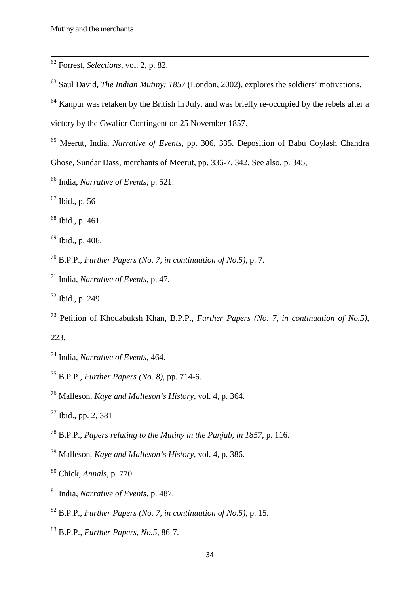<span id="page-34-0"></span><sup>62</sup> Forrest, *Selections*, vol. 2, p. 82.

- <span id="page-34-1"></span>Saul David, *The Indian Mutiny: 1857* (London, 2002), explores the soldiers' motivations.
- <span id="page-34-2"></span>Kanpur was retaken by the British in July, and was briefly re-occupied by the rebels after a

victory by the Gwalior Contingent on 25 November 1857.

- <span id="page-34-3"></span> Meerut, India, *Narrative of Events*, pp. 306, 335. Deposition of Babu Coylash Chandra Ghose, Sundar Dass, merchants of Meerut, pp. 336-7, 342. See also, p. 345,
- <span id="page-34-4"></span>India, *Narrative of Events*, p. 521.
- <span id="page-34-5"></span>Ibid., p. 56
- <span id="page-34-6"></span>Ibid., p. 461.
- <span id="page-34-7"></span>Ibid., p. 406.

<span id="page-34-8"></span>B.P.P., *Further Papers (No. 7, in continuation of No.5)*, p. 7.

- <span id="page-34-9"></span>India, *Narrative of Events*, p. 47.
- <span id="page-34-10"></span>Ibid., p. 249.
- <span id="page-34-11"></span>Petition of Khodabuksh Khan, B.P.P., *Further Papers (No. 7, in continuation of No.5)*,

- <span id="page-34-12"></span>India, *Narrative of Events*, 464.
- <span id="page-34-13"></span>B.P.P., *Further Papers (No. 8)*, pp. 714-6.
- <span id="page-34-14"></span>Malleson, *Kaye and Malleson's History*, vol. 4, p. 364.
- <span id="page-34-15"></span>Ibid., pp. 2, 381
- <span id="page-34-16"></span>B.P.P., *Papers relating to the Mutiny in the Punjab, in 1857*, p. 116.
- <span id="page-34-17"></span>Malleson, *Kaye and Malleson's History*, vol. 4, p. 386.
- <span id="page-34-18"></span>Chick, *Annals*, p. 770.
- <span id="page-34-19"></span>India, *Narrative of Events*, p. 487.
- <span id="page-34-20"></span>B.P.P., *Further Papers (No. 7, in continuation of No.5)*, p. 15.
- <span id="page-34-21"></span>B.P.P., *Further Papers, No.5*, 86-7.

<sup>223.</sup>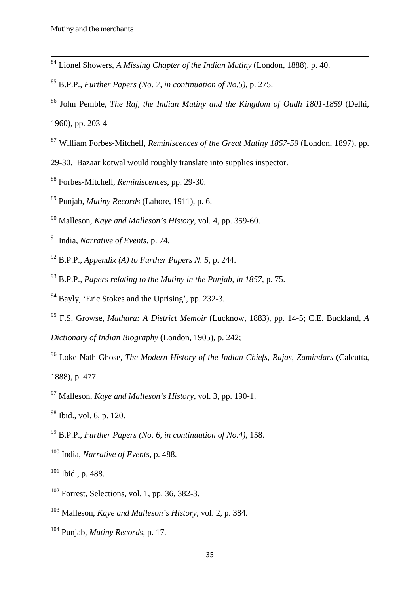- <span id="page-35-0"></span><sup>84</sup> Lionel Showers, *A Missing Chapter of the Indian Mutiny* (London, 1888), p. 40.
- <span id="page-35-1"></span>B.P.P., *Further Papers (No. 7, in continuation of No.5)*, p. 275.
- <span id="page-35-2"></span> John Pemble, *The Raj, the Indian Mutiny and the Kingdom of Oudh 1801-1859* (Delhi, 1960), pp. 203-4
- <span id="page-35-3"></span>William Forbes-Mitchell, *Reminiscences of the Great Mutiny 1857-59* (London, 1897), pp.
- 29-30. Bazaar kotwal would roughly translate into supplies inspector.
- <span id="page-35-4"></span>Forbes-Mitchell, *Reminiscences*, pp. 29-30.
- <span id="page-35-5"></span>Punjab, *Mutiny Records* (Lahore, 1911), p. 6.
- <span id="page-35-6"></span>Malleson, *Kaye and Malleson's History*, vol. 4, pp. 359-60.
- <span id="page-35-7"></span>India, *Narrative of Events*, p. 74.
- <span id="page-35-8"></span>B.P.P., *Appendix (A) to Further Papers N. 5*, p. 244.
- <span id="page-35-9"></span>B.P.P., *Papers relating to the Mutiny in the Punjab, in 1857*, p. 75.
- <span id="page-35-10"></span>Bayly, 'Eric Stokes and the Uprising', pp. 232-3.
- <span id="page-35-11"></span> F.S. Growse, *Mathura: A District Memoir* (Lucknow, 1883), pp. 14-5; C.E. Buckland, *A Dictionary of Indian Biography* (London, 1905), p. 242;
- <span id="page-35-12"></span> Loke Nath Ghose, *The Modern History of the Indian Chiefs, Rajas, Zamindars* (Calcutta, 1888), p. 477.
- <span id="page-35-13"></span>Malleson, *Kaye and Malleson's History*, vol. 3, pp. 190-1.
- <span id="page-35-14"></span>Ibid., vol. 6, p. 120.
- <span id="page-35-15"></span>B.P.P., *Further Papers (No. 6, in continuation of No.4)*, 158.
- <span id="page-35-16"></span>India, *Narrative of Events*, p. 488.
- <span id="page-35-17"></span>Ibid., p. 488.
- <span id="page-35-18"></span>Forrest, Selections, vol. 1, pp. 36, 382-3.
- <span id="page-35-19"></span>Malleson, *Kaye and Malleson's History*, vol. 2, p. 384.
- <span id="page-35-20"></span>Punjab, *Mutiny Records*, p. 17.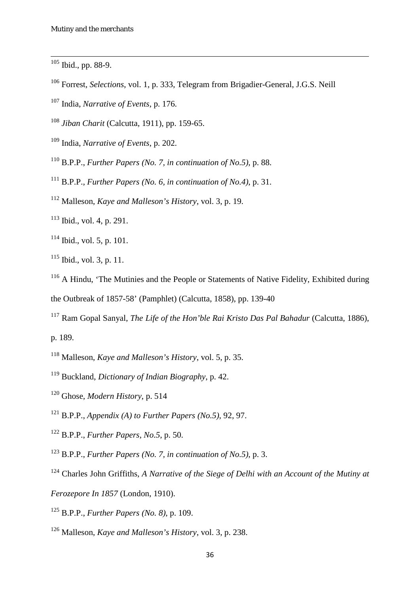<span id="page-36-0"></span>Ibid., pp. 88-9.

- <span id="page-36-1"></span>Forrest, *Selections*, vol. 1, p. 333, Telegram from Brigadier-General, J.G.S. Neill
- <span id="page-36-2"></span>India, *Narrative of Events*, p. 176.

<span id="page-36-3"></span>*Jiban Charit* (Calcutta, 1911), pp. 159-65.

- <span id="page-36-4"></span>India, *Narrative of Events*, p. 202.
- <span id="page-36-5"></span>B.P.P., *Further Papers (No. 7, in continuation of No.5)*, p. 88.
- <span id="page-36-6"></span>B.P.P., *Further Papers (No. 6, in continuation of No.4)*, p. 31.
- <span id="page-36-7"></span>Malleson, *Kaye and Malleson's History*, vol. 3, p. 19.
- <span id="page-36-8"></span>Ibid., vol. 4, p. 291.
- <span id="page-36-9"></span>Ibid., vol. 5, p. 101.
- <span id="page-36-10"></span>Ibid., vol. 3, p. 11.

<span id="page-36-11"></span> A Hindu, 'The Mutinies and the People or Statements of Native Fidelity, Exhibited during the Outbreak of 1857-58' (Pamphlet) (Calcutta, 1858), pp. 139-40

- <span id="page-36-12"></span> Ram Gopal Sanyal, *The Life of the Hon'ble Rai Kristo Das Pal Bahadur* (Calcutta, 1886), p. 189.
- <span id="page-36-13"></span>Malleson, *Kaye and Malleson's History*, vol. 5, p. 35.
- <span id="page-36-14"></span>Buckland, *Dictionary of Indian Biography*, p. 42.
- <span id="page-36-15"></span>Ghose, *Modern History*, p. 514
- <span id="page-36-16"></span>B.P.P., *Appendix (A) to Further Papers (No.5)*, 92, 97.
- <span id="page-36-17"></span>B.P.P., *Further Papers, No.5*, p. 50.
- <span id="page-36-18"></span>B.P.P., *Further Papers (No. 7, in continuation of No.5)*, p. 3.
- <span id="page-36-19"></span>Charles John Griffiths, *A Narrative of the Siege of Delhi with an Account of the Mutiny at*
- *Ferozepore In 1857* (London, 1910).
- <span id="page-36-20"></span>B.P.P., *Further Papers (No. 8)*, p. 109.
- <span id="page-36-21"></span>Malleson, *Kaye and Malleson's History*, vol. 3, p. 238.